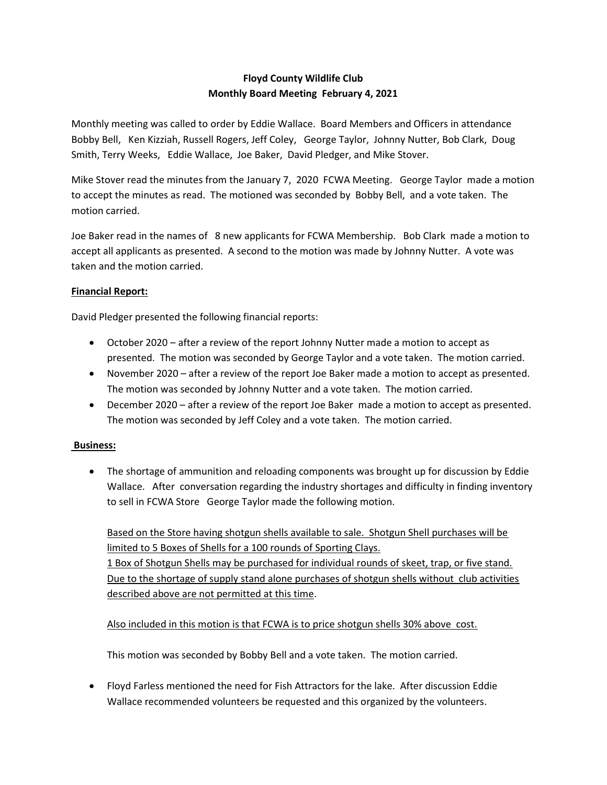## Floyd County Wildlife Club Monthly Board Meeting February 4, 2021

Monthly meeting was called to order by Eddie Wallace. Board Members and Officers in attendance Bobby Bell, Ken Kizziah, Russell Rogers, Jeff Coley, George Taylor, Johnny Nutter, Bob Clark, Doug Smith, Terry Weeks, Eddie Wallace, Joe Baker, David Pledger, and Mike Stover.

Mike Stover read the minutes from the January 7, 2020 FCWA Meeting. George Taylor made a motion to accept the minutes as read. The motioned was seconded by Bobby Bell, and a vote taken. The motion carried.

Joe Baker read in the names of 8 new applicants for FCWA Membership. Bob Clark made a motion to accept all applicants as presented. A second to the motion was made by Johnny Nutter. A vote was taken and the motion carried.

## Financial Report:

David Pledger presented the following financial reports:

- October 2020 after a review of the report Johnny Nutter made a motion to accept as presented. The motion was seconded by George Taylor and a vote taken. The motion carried.
- November 2020 after a review of the report Joe Baker made a motion to accept as presented. The motion was seconded by Johnny Nutter and a vote taken. The motion carried.
- December 2020 after a review of the report Joe Baker made a motion to accept as presented. The motion was seconded by Jeff Coley and a vote taken. The motion carried.

## Business:

• The shortage of ammunition and reloading components was brought up for discussion by Eddie Wallace. After conversation regarding the industry shortages and difficulty in finding inventory to sell in FCWA Store George Taylor made the following motion.

Based on the Store having shotgun shells available to sale. Shotgun Shell purchases will be limited to 5 Boxes of Shells for a 100 rounds of Sporting Clays. 1 Box of Shotgun Shells may be purchased for individual rounds of skeet, trap, or five stand. Due to the shortage of supply stand alone purchases of shotgun shells without club activities described above are not permitted at this time.

Also included in this motion is that FCWA is to price shotgun shells 30% above cost.

This motion was seconded by Bobby Bell and a vote taken. The motion carried.

 Floyd Farless mentioned the need for Fish Attractors for the lake. After discussion Eddie Wallace recommended volunteers be requested and this organized by the volunteers.